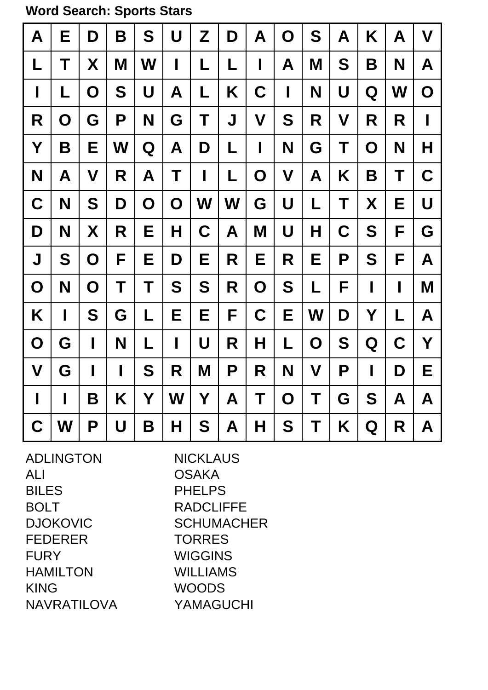**Word Search: Sports Stars**

| A                         | E              | D                         | B           | S           | U                | Z                        | D | A                         | O                         | S                         | $\mathsf{A}$              | K           | A           | $\boldsymbol{\mathsf{V}}$ |
|---------------------------|----------------|---------------------------|-------------|-------------|------------------|--------------------------|---|---------------------------|---------------------------|---------------------------|---------------------------|-------------|-------------|---------------------------|
| L                         | T              | X                         | M           | W           | I                | L                        | L | I                         | A                         | M                         | S                         | B           | N           | A                         |
| П                         | L              | O                         | S           | U           | $\blacktriangle$ | L                        | K | $\mathbf C$               | I                         | N                         | U                         | Q           | W           | $\mathbf O$               |
| R                         | O              | G                         | P           | N           | G                | Τ                        | J | $\boldsymbol{\mathsf{V}}$ | S                         | R                         | $\boldsymbol{\mathsf{V}}$ | R           | R           | ι                         |
| Y                         | B              | E                         | W           | Q           | A                | D                        | L | I                         | N                         | G                         | T                         | $\mathbf O$ | N           | H                         |
| N                         | A              | $\boldsymbol{\mathsf{V}}$ | R           | A           | T                | $\overline{\phantom{a}}$ | L | $\mathbf 0$               | $\boldsymbol{\mathsf{V}}$ | A                         | K                         | B           | Τ           | $\mathbf C$               |
| $\mathbf C$               | N              | S                         | D           | $\mathbf O$ | $\mathbf O$      | W                        | W | G                         | U                         | L                         | Τ                         | X           | Е           | U                         |
| D                         | N              | X                         | R           | Е           | Н                | $\mathbf C$              | A | M                         | U                         | H                         | $\mathbf C$               | S           | F           | G                         |
| J                         | S              | O                         | F           | E           | D                | E                        | R | E                         | R                         | Е                         | P                         | S           | F           | A                         |
| $\mathbf O$               | N              | O                         | Τ           | T           | S                | S                        | R | $\mathbf O$               | S                         | L                         | F                         | I           | I           | Μ                         |
| Κ                         | $\blacksquare$ | S                         | G           | L           | E                | E                        | F | $\mathbf C$               | E                         | W                         | D                         | Y           | L           | A                         |
| $\mathbf 0$               | G              | Τ                         | N           | L           | $\blacksquare$   | U                        | R | Η                         | L                         | $\mathbf O$               | S                         | Q           | $\mathbf C$ | Y                         |
| $\boldsymbol{\mathsf{V}}$ | G              | ι                         | $\mathbf I$ | S           | R                | M                        | P | R                         | N                         | $\boldsymbol{\mathsf{V}}$ | P                         | I           | D           | E                         |
| $\blacksquare$            | $\blacksquare$ | Β                         | K           | Υ           | W                | Υ                        | A | T                         | $\mathbf O$               | T                         | G                         | S           | A           | A                         |
| $\mathbf C$               | W              | P                         | U           | Β           | H                | S                        | A | Н                         | S                         | Τ                         | K                         | Q           | R           | A                         |

ADLINGTON ALI BILES BOLT DJOKOVIC FEDERER FURY HAMILTON KING NAVRATILOVA **NICKLAUS OSAKA** PHELPS RADCLIFFE **SCHUMACHER** TORRES WIGGINS WILLIAMS WOODS YAMAGUCHI